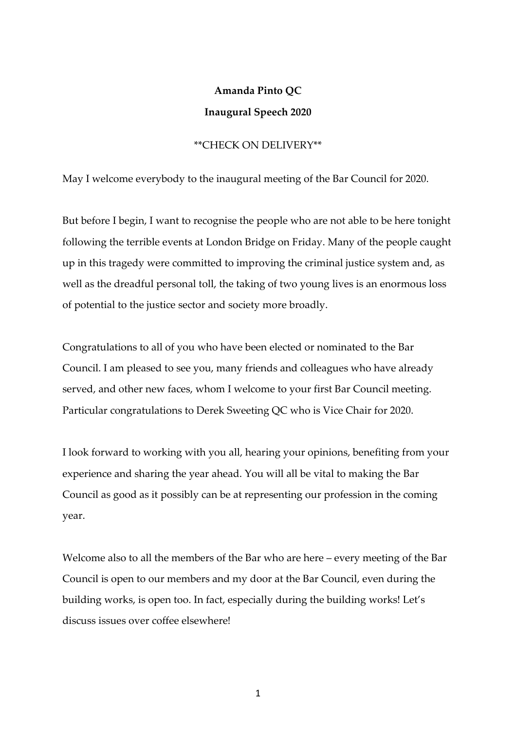## **Amanda Pinto QC Inaugural Speech 2020**

## \*\*CHECK ON DELIVERY\*\*

May I welcome everybody to the inaugural meeting of the Bar Council for 2020.

But before I begin, I want to recognise the people who are not able to be here tonight following the terrible events at London Bridge on Friday. Many of the people caught up in this tragedy were committed to improving the criminal justice system and, as well as the dreadful personal toll, the taking of two young lives is an enormous loss of potential to the justice sector and society more broadly.

Congratulations to all of you who have been elected or nominated to the Bar Council. I am pleased to see you, many friends and colleagues who have already served, and other new faces, whom I welcome to your first Bar Council meeting. Particular congratulations to Derek Sweeting QC who is Vice Chair for 2020.

I look forward to working with you all, hearing your opinions, benefiting from your experience and sharing the year ahead. You will all be vital to making the Bar Council as good as it possibly can be at representing our profession in the coming year.

Welcome also to all the members of the Bar who are here – every meeting of the Bar Council is open to our members and my door at the Bar Council, even during the building works, is open too. In fact, especially during the building works! Let's discuss issues over coffee elsewhere!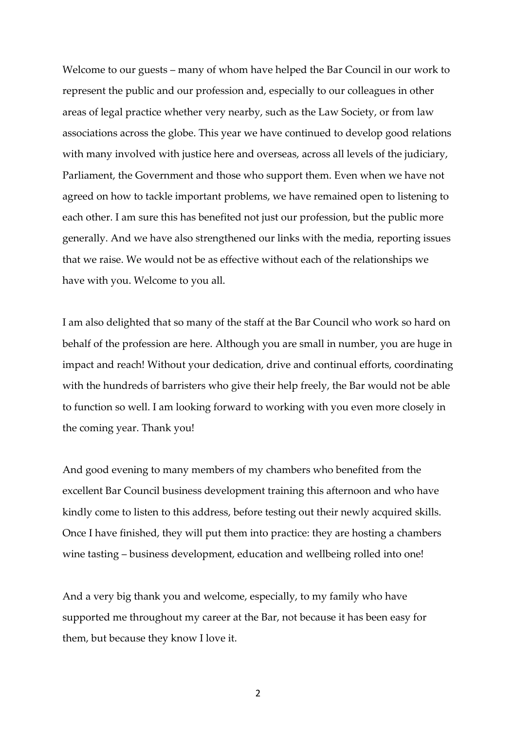Welcome to our guests – many of whom have helped the Bar Council in our work to represent the public and our profession and, especially to our colleagues in other areas of legal practice whether very nearby, such as the Law Society, or from law associations across the globe. This year we have continued to develop good relations with many involved with justice here and overseas, across all levels of the judiciary, Parliament, the Government and those who support them. Even when we have not agreed on how to tackle important problems, we have remained open to listening to each other. I am sure this has benefited not just our profession, but the public more generally. And we have also strengthened our links with the media, reporting issues that we raise. We would not be as effective without each of the relationships we have with you. Welcome to you all.

I am also delighted that so many of the staff at the Bar Council who work so hard on behalf of the profession are here. Although you are small in number, you are huge in impact and reach! Without your dedication, drive and continual efforts, coordinating with the hundreds of barristers who give their help freely, the Bar would not be able to function so well. I am looking forward to working with you even more closely in the coming year. Thank you!

And good evening to many members of my chambers who benefited from the excellent Bar Council business development training this afternoon and who have kindly come to listen to this address, before testing out their newly acquired skills. Once I have finished, they will put them into practice: they are hosting a chambers wine tasting – business development, education and wellbeing rolled into one!

And a very big thank you and welcome, especially, to my family who have supported me throughout my career at the Bar, not because it has been easy for them, but because they know I love it.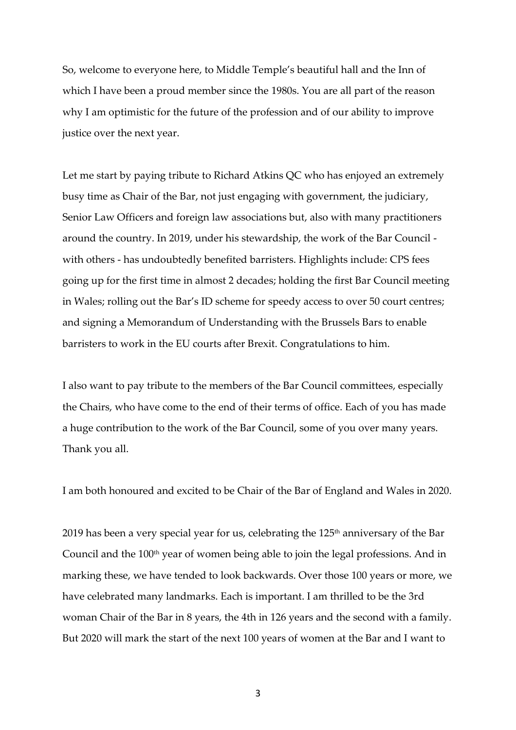So, welcome to everyone here, to Middle Temple's beautiful hall and the Inn of which I have been a proud member since the 1980s. You are all part of the reason why I am optimistic for the future of the profession and of our ability to improve justice over the next year.

Let me start by paying tribute to Richard Atkins QC who has enjoyed an extremely busy time as Chair of the Bar, not just engaging with government, the judiciary, Senior Law Officers and foreign law associations but, also with many practitioners around the country. In 2019, under his stewardship, the work of the Bar Council with others - has undoubtedly benefited barristers. Highlights include: CPS fees going up for the first time in almost 2 decades; holding the first Bar Council meeting in Wales; rolling out the Bar's ID scheme for speedy access to over 50 court centres; and signing a Memorandum of Understanding with the Brussels Bars to enable barristers to work in the EU courts after Brexit. Congratulations to him.

I also want to pay tribute to the members of the Bar Council committees, especially the Chairs, who have come to the end of their terms of office. Each of you has made a huge contribution to the work of the Bar Council, some of you over many years. Thank you all.

I am both honoured and excited to be Chair of the Bar of England and Wales in 2020.

2019 has been a very special year for us, celebrating the  $125<sup>th</sup>$  anniversary of the Bar Council and the 100<sup>th</sup> year of women being able to join the legal professions. And in marking these, we have tended to look backwards. Over those 100 years or more, we have celebrated many landmarks. Each is important. I am thrilled to be the 3rd woman Chair of the Bar in 8 years, the 4th in 126 years and the second with a family. But 2020 will mark the start of the next 100 years of women at the Bar and I want to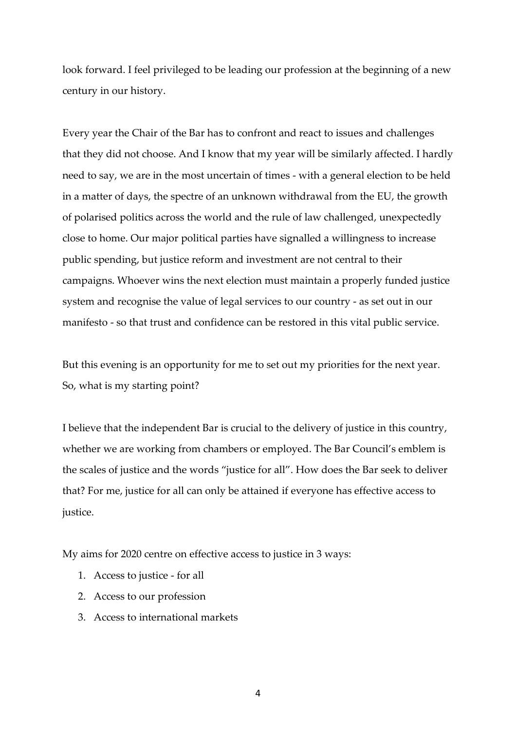look forward. I feel privileged to be leading our profession at the beginning of a new century in our history.

Every year the Chair of the Bar has to confront and react to issues and challenges that they did not choose. And I know that my year will be similarly affected. I hardly need to say, we are in the most uncertain of times - with a general election to be held in a matter of days, the spectre of an unknown withdrawal from the EU, the growth of polarised politics across the world and the rule of law challenged, unexpectedly close to home. Our major political parties have signalled a willingness to increase public spending, but justice reform and investment are not central to their campaigns. Whoever wins the next election must maintain a properly funded justice system and recognise the value of legal services to our country - as set out in our manifesto - so that trust and confidence can be restored in this vital public service.

But this evening is an opportunity for me to set out my priorities for the next year. So, what is my starting point?

I believe that the independent Bar is crucial to the delivery of justice in this country, whether we are working from chambers or employed. The Bar Council's emblem is the scales of justice and the words "justice for all". How does the Bar seek to deliver that? For me, justice for all can only be attained if everyone has effective access to justice.

My aims for 2020 centre on effective access to justice in 3 ways:

- 1. Access to justice for all
- 2. Access to our profession
- 3. Access to international markets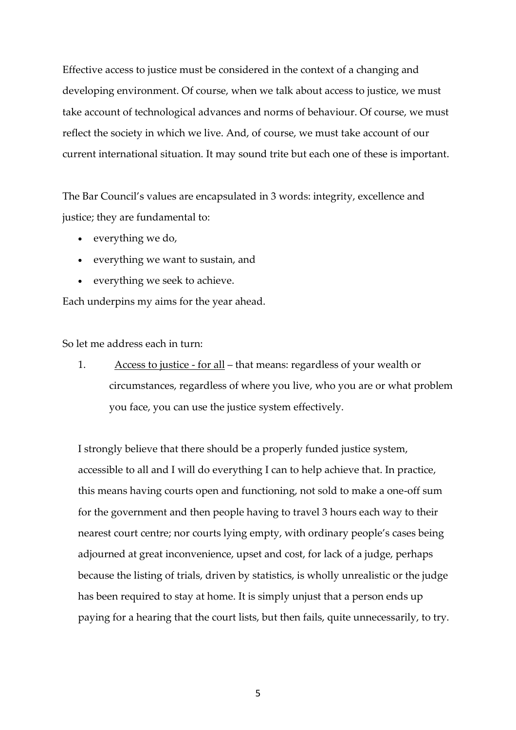Effective access to justice must be considered in the context of a changing and developing environment. Of course, when we talk about access to justice, we must take account of technological advances and norms of behaviour. Of course, we must reflect the society in which we live. And, of course, we must take account of our current international situation. It may sound trite but each one of these is important.

The Bar Council's values are encapsulated in 3 words: integrity, excellence and justice; they are fundamental to:

- everything we do,
- everything we want to sustain, and
- everything we seek to achieve.

Each underpins my aims for the year ahead.

So let me address each in turn:

1. Access to justice - for all – that means: regardless of your wealth or circumstances, regardless of where you live, who you are or what problem you face, you can use the justice system effectively.

I strongly believe that there should be a properly funded justice system, accessible to all and I will do everything I can to help achieve that. In practice, this means having courts open and functioning, not sold to make a one-off sum for the government and then people having to travel 3 hours each way to their nearest court centre; nor courts lying empty, with ordinary people's cases being adjourned at great inconvenience, upset and cost, for lack of a judge, perhaps because the listing of trials, driven by statistics, is wholly unrealistic or the judge has been required to stay at home. It is simply unjust that a person ends up paying for a hearing that the court lists, but then fails, quite unnecessarily, to try.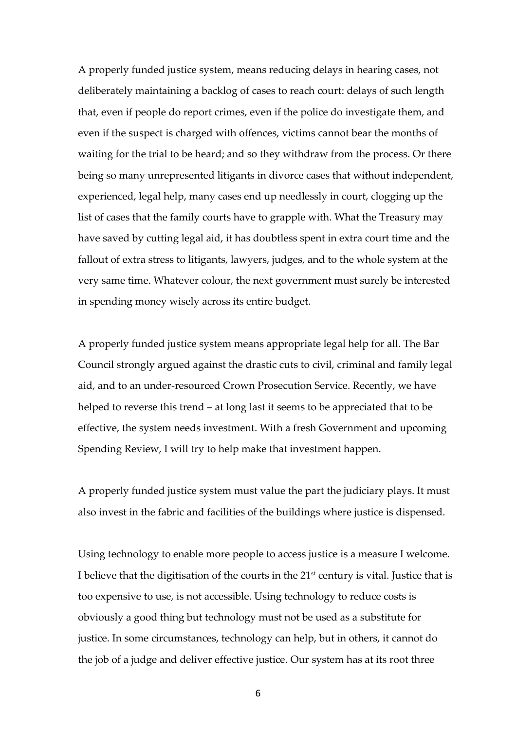A properly funded justice system, means reducing delays in hearing cases, not deliberately maintaining a backlog of cases to reach court: delays of such length that, even if people do report crimes, even if the police do investigate them, and even if the suspect is charged with offences, victims cannot bear the months of waiting for the trial to be heard; and so they withdraw from the process. Or there being so many unrepresented litigants in divorce cases that without independent, experienced, legal help, many cases end up needlessly in court, clogging up the list of cases that the family courts have to grapple with. What the Treasury may have saved by cutting legal aid, it has doubtless spent in extra court time and the fallout of extra stress to litigants, lawyers, judges, and to the whole system at the very same time. Whatever colour, the next government must surely be interested in spending money wisely across its entire budget.

A properly funded justice system means appropriate legal help for all. The Bar Council strongly argued against the drastic cuts to civil, criminal and family legal aid, and to an under-resourced Crown Prosecution Service. Recently, we have helped to reverse this trend – at long last it seems to be appreciated that to be effective, the system needs investment. With a fresh Government and upcoming Spending Review, I will try to help make that investment happen.

A properly funded justice system must value the part the judiciary plays. It must also invest in the fabric and facilities of the buildings where justice is dispensed.

Using technology to enable more people to access justice is a measure I welcome. I believe that the digitisation of the courts in the  $21<sup>st</sup>$  century is vital. Justice that is too expensive to use, is not accessible. Using technology to reduce costs is obviously a good thing but technology must not be used as a substitute for justice. In some circumstances, technology can help, but in others, it cannot do the job of a judge and deliver effective justice. Our system has at its root three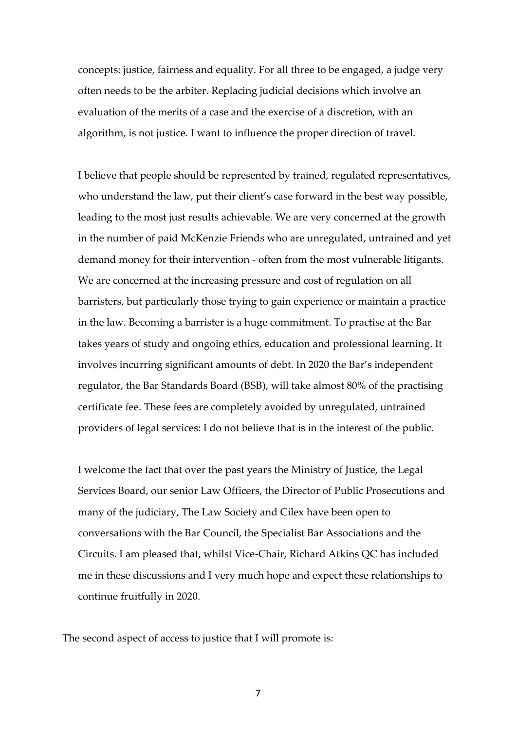concepts: justice, fairness and equality. For all three to be engaged, a judge very often needs to be the arbiter. Replacing judicial decisions which involve an evaluation of the merits of a case and the exercise of a discretion, with an algorithm, is not justice*.* I want to influence the proper direction of travel.

I believe that people should be represented by trained, regulated representatives, who understand the law, put their client's case forward in the best way possible, leading to the most just results achievable. We are very concerned at the growth in the number of paid McKenzie Friends who are unregulated, untrained and yet demand money for their intervention - often from the most vulnerable litigants. We are concerned at the increasing pressure and cost of regulation on all barristers, but particularly those trying to gain experience or maintain a practice in the law. Becoming a barrister is a huge commitment. To practise at the Bar takes years of study and ongoing ethics, education and professional learning. It involves incurring significant amounts of debt. In 2020 the Bar's independent regulator, the Bar Standards Board (BSB), will take almost 80% of the practising certificate fee. These fees are completely avoided by unregulated, untrained providers of legal services: I do not believe that is in the interest of the public.

I welcome the fact that over the past years the Ministry of Justice, the Legal Services Board, our senior Law Officers, the Director of Public Prosecutions and many of the judiciary, The Law Society and Cilex have been open to conversations with the Bar Council, the Specialist Bar Associations and the Circuits. I am pleased that, whilst Vice-Chair, Richard Atkins QC has included me in these discussions and I very much hope and expect these relationships to continue fruitfully in 2020.

The second aspect of access to justice that I will promote is: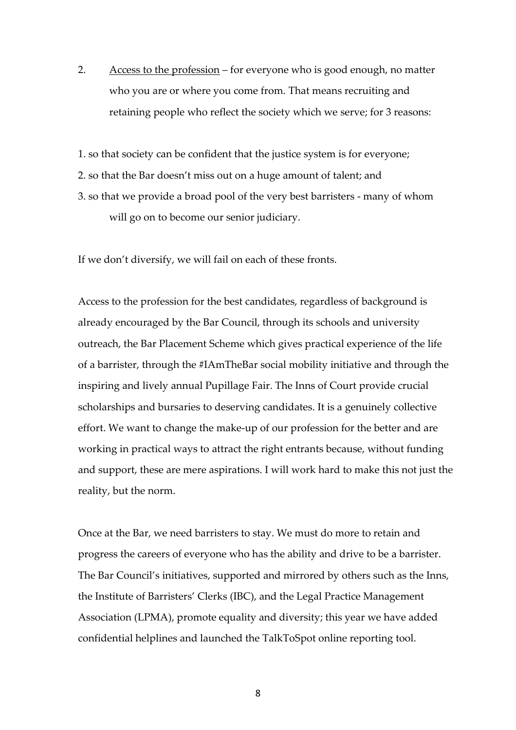2. Access to the profession – for everyone who is good enough, no matter who you are or where you come from. That means recruiting and retaining people who reflect the society which we serve; for 3 reasons:

1. so that society can be confident that the justice system is for everyone;

- 2. so that the Bar doesn't miss out on a huge amount of talent; and
- 3. so that we provide a broad pool of the very best barristers many of whom will go on to become our senior judiciary.

If we don't diversify, we will fail on each of these fronts.

Access to the profession for the best candidates, regardless of background is already encouraged by the Bar Council, through its schools and university outreach, the Bar Placement Scheme which gives practical experience of the life of a barrister, through the #IAmTheBar social mobility initiative and through the inspiring and lively annual Pupillage Fair. The Inns of Court provide crucial scholarships and bursaries to deserving candidates. It is a genuinely collective effort. We want to change the make-up of our profession for the better and are working in practical ways to attract the right entrants because, without funding and support, these are mere aspirations. I will work hard to make this not just the reality, but the norm.

Once at the Bar, we need barristers to stay. We must do more to retain and progress the careers of everyone who has the ability and drive to be a barrister. The Bar Council's initiatives, supported and mirrored by others such as the Inns, the Institute of Barristers' Clerks (IBC), and the Legal Practice Management Association (LPMA), promote equality and diversity; this year we have added confidential helplines and launched the TalkToSpot online reporting tool.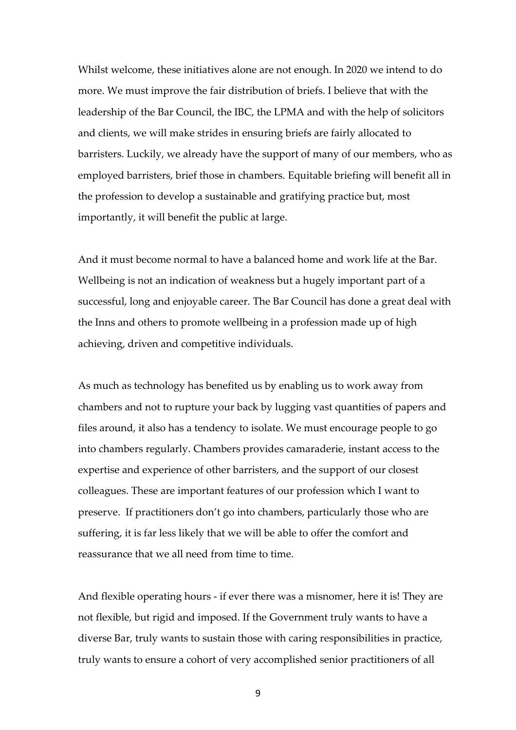Whilst welcome, these initiatives alone are not enough. In 2020 we intend to do more. We must improve the fair distribution of briefs. I believe that with the leadership of the Bar Council, the IBC, the LPMA and with the help of solicitors and clients, we will make strides in ensuring briefs are fairly allocated to barristers. Luckily, we already have the support of many of our members, who as employed barristers, brief those in chambers. Equitable briefing will benefit all in the profession to develop a sustainable and gratifying practice but, most importantly, it will benefit the public at large.

And it must become normal to have a balanced home and work life at the Bar. Wellbeing is not an indication of weakness but a hugely important part of a successful, long and enjoyable career. The Bar Council has done a great deal with the Inns and others to promote wellbeing in a profession made up of high achieving, driven and competitive individuals.

As much as technology has benefited us by enabling us to work away from chambers and not to rupture your back by lugging vast quantities of papers and files around, it also has a tendency to isolate. We must encourage people to go into chambers regularly. Chambers provides camaraderie, instant access to the expertise and experience of other barristers, and the support of our closest colleagues. These are important features of our profession which I want to preserve. If practitioners don't go into chambers, particularly those who are suffering, it is far less likely that we will be able to offer the comfort and reassurance that we all need from time to time.

And flexible operating hours - if ever there was a misnomer, here it is! They are not flexible, but rigid and imposed. If the Government truly wants to have a diverse Bar, truly wants to sustain those with caring responsibilities in practice, truly wants to ensure a cohort of very accomplished senior practitioners of all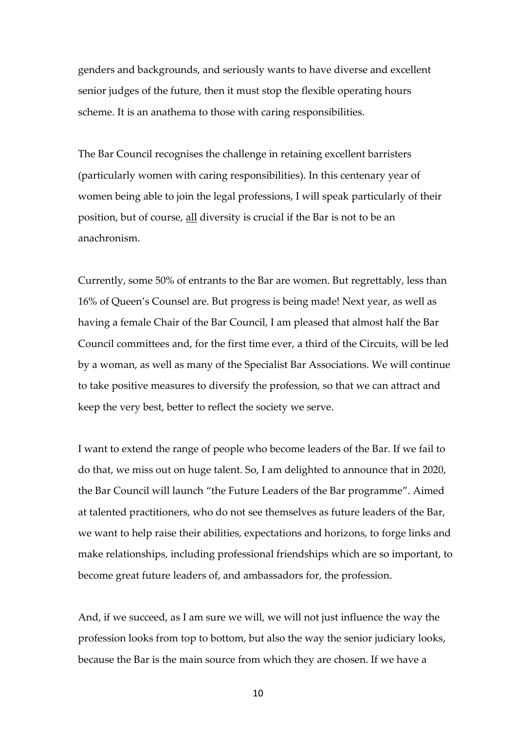genders and backgrounds, and seriously wants to have diverse and excellent senior judges of the future, then it must stop the flexible operating hours scheme. It is an anathema to those with caring responsibilities.

The Bar Council recognises the challenge in retaining excellent barristers (particularly women with caring responsibilities). In this centenary year of women being able to join the legal professions, I will speak particularly of their position, but of course, all diversity is crucial if the Bar is not to be an anachronism.

Currently, some 50% of entrants to the Bar are women. But regrettably, less than 16% of Queen's Counsel are. But progress is being made! Next year, as well as having a female Chair of the Bar Council, I am pleased that almost half the Bar Council committees and, for the first time ever, a third of the Circuits, will be led by a woman, as well as many of the Specialist Bar Associations. We will continue to take positive measures to diversify the profession, so that we can attract and keep the very best, better to reflect the society we serve.

I want to extend the range of people who become leaders of the Bar. If we fail to do that, we miss out on huge talent. So, I am delighted to announce that in 2020, the Bar Council will launch "the Future Leaders of the Bar programme". Aimed at talented practitioners, who do not see themselves as future leaders of the Bar, we want to help raise their abilities, expectations and horizons, to forge links and make relationships, including professional friendships which are so important, to become great future leaders of, and ambassadors for, the profession.

And, if we succeed, as I am sure we will, we will not just influence the way the profession looks from top to bottom, but also the way the senior judiciary looks, because the Bar is the main source from which they are chosen. If we have a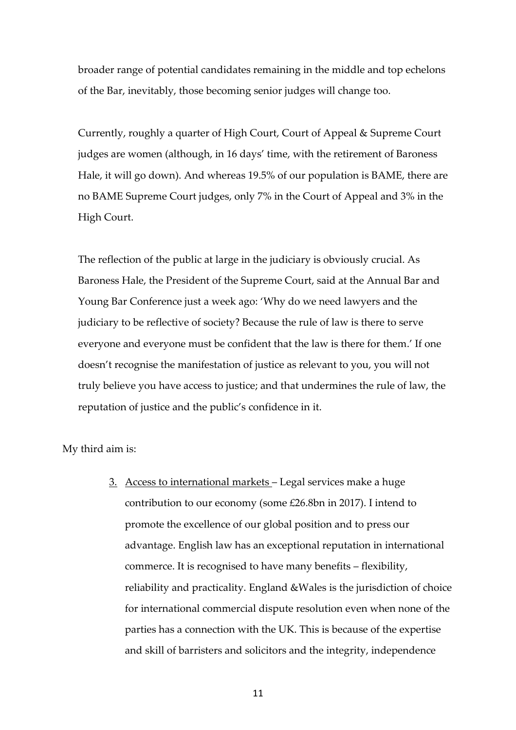broader range of potential candidates remaining in the middle and top echelons of the Bar, inevitably, those becoming senior judges will change too.

Currently, roughly a quarter of High Court, Court of Appeal & Supreme Court judges are women (although, in 16 days' time, with the retirement of Baroness Hale, it will go down). And whereas 19.5% of our population is BAME, there are no BAME Supreme Court judges, only 7% in the Court of Appeal and 3% in the High Court.

The reflection of the public at large in the judiciary is obviously crucial. As Baroness Hale, the President of the Supreme Court, said at the Annual Bar and Young Bar Conference just a week ago: 'Why do we need lawyers and the judiciary to be reflective of society? Because the rule of law is there to serve everyone and everyone must be confident that the law is there for them.' If one doesn't recognise the manifestation of justice as relevant to you, you will not truly believe you have access to justice; and that undermines the rule of law, the reputation of justice and the public's confidence in it.

My third aim is:

3. Access to international markets – Legal services make a huge contribution to our economy (some £26.8bn in 2017). I intend to promote the excellence of our global position and to press our advantage. English law has an exceptional reputation in international commerce. It is recognised to have many benefits – flexibility, reliability and practicality. England &Wales is the jurisdiction of choice for international commercial dispute resolution even when none of the parties has a connection with the UK. This is because of the expertise and skill of barristers and solicitors and the integrity, independence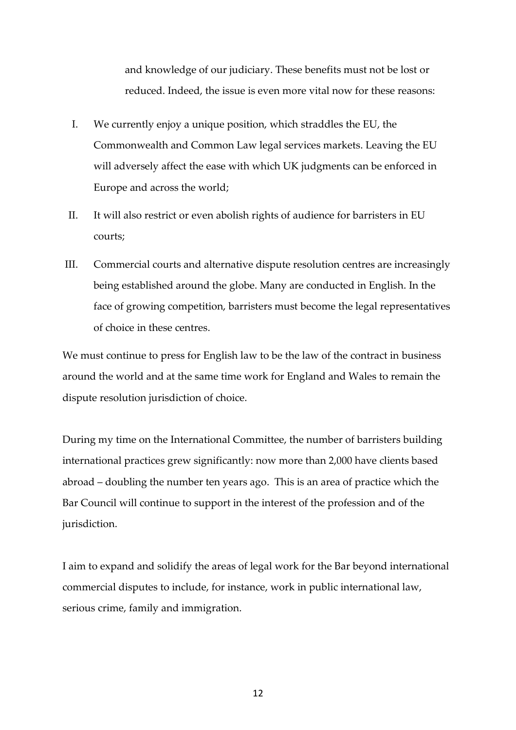and knowledge of our judiciary. These benefits must not be lost or reduced. Indeed, the issue is even more vital now for these reasons:

- I. We currently enjoy a unique position, which straddles the EU, the Commonwealth and Common Law legal services markets. Leaving the EU will adversely affect the ease with which UK judgments can be enforced in Europe and across the world;
- II. It will also restrict or even abolish rights of audience for barristers in EU courts;
- III. Commercial courts and alternative dispute resolution centres are increasingly being established around the globe. Many are conducted in English. In the face of growing competition, barristers must become the legal representatives of choice in these centres.

We must continue to press for English law to be the law of the contract in business around the world and at the same time work for England and Wales to remain the dispute resolution jurisdiction of choice.

During my time on the International Committee, the number of barristers building international practices grew significantly: now more than 2,000 have clients based abroad – doubling the number ten years ago. This is an area of practice which the Bar Council will continue to support in the interest of the profession and of the jurisdiction.

I aim to expand and solidify the areas of legal work for the Bar beyond international commercial disputes to include, for instance, work in public international law, serious crime, family and immigration.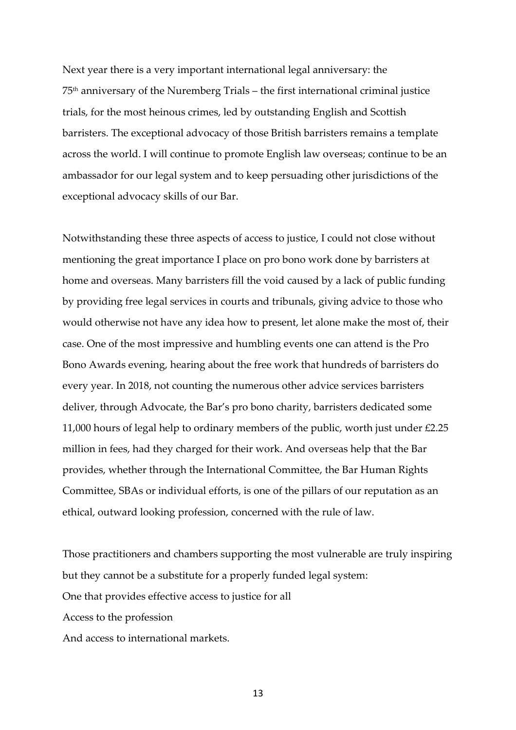Next year there is a very important international legal anniversary: the 75th anniversary of the Nuremberg Trials – the first international criminal justice trials, for the most heinous crimes, led by outstanding English and Scottish barristers. The exceptional advocacy of those British barristers remains a template across the world. I will continue to promote English law overseas; continue to be an ambassador for our legal system and to keep persuading other jurisdictions of the exceptional advocacy skills of our Bar.

Notwithstanding these three aspects of access to justice, I could not close without mentioning the great importance I place on pro bono work done by barristers at home and overseas. Many barristers fill the void caused by a lack of public funding by providing free legal services in courts and tribunals, giving advice to those who would otherwise not have any idea how to present, let alone make the most of, their case. One of the most impressive and humbling events one can attend is the Pro Bono Awards evening, hearing about the free work that hundreds of barristers do every year. In 2018, not counting the numerous other advice services barristers deliver, through Advocate, the Bar's pro bono charity, barristers dedicated some 11,000 hours of legal help to ordinary members of the public, worth just under £2.25 million in fees, had they charged for their work. And overseas help that the Bar provides, whether through the International Committee, the Bar Human Rights Committee, SBAs or individual efforts, is one of the pillars of our reputation as an ethical, outward looking profession, concerned with the rule of law.

Those practitioners and chambers supporting the most vulnerable are truly inspiring but they cannot be a substitute for a properly funded legal system: One that provides effective access to justice for all Access to the profession And access to international markets.